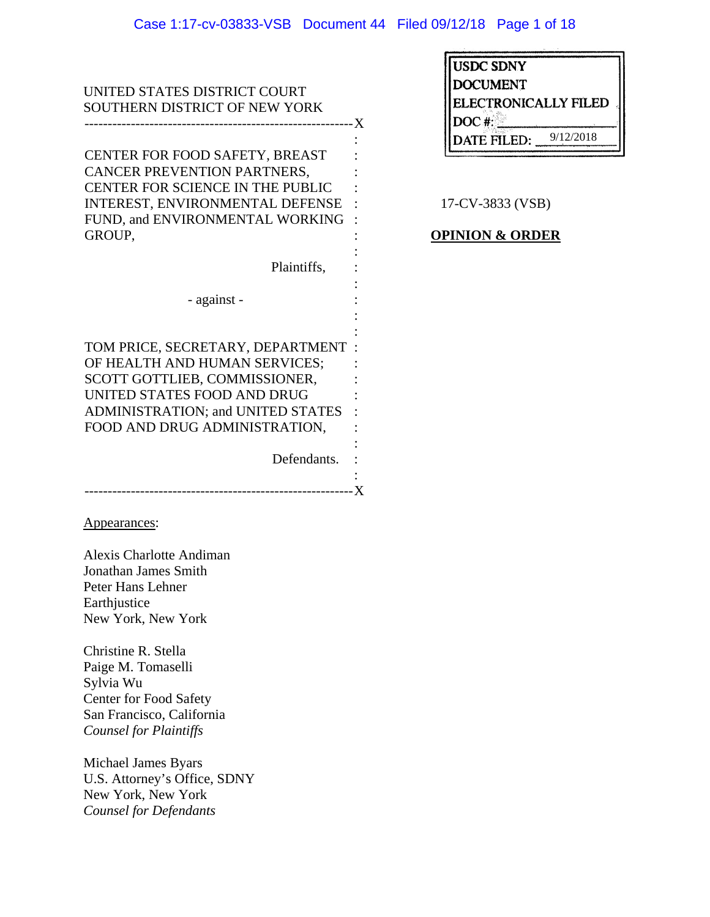| UNITED STATES DISTRICT COURT<br>SOUTHERN DISTRICT OF NEW YORK                                                                                                                                           |           |
|---------------------------------------------------------------------------------------------------------------------------------------------------------------------------------------------------------|-----------|
|                                                                                                                                                                                                         |           |
| CENTER FOR FOOD SAFETY, BREAST<br>CANCER PREVENTION PARTNERS,<br>CENTER FOR SCIENCE IN THE PUBLIC<br>INTEREST, ENVIRONMENTAL DEFENSE<br>FUND, and ENVIRONMENTAL WORKING<br>GROUP,                       | 17<br>OPI |
| Plaintiffs,                                                                                                                                                                                             |           |
| - against -                                                                                                                                                                                             |           |
| TOM PRICE, SECRETARY, DEPARTMENT<br>OF HEALTH AND HUMAN SERVICES;<br>SCOTT GOTTLIEB, COMMISSIONER,<br>UNITED STATES FOOD AND DRUG<br>ADMINISTRATION; and UNITED STATES<br>FOOD AND DRUG ADMINISTRATION, |           |
| Defendants.                                                                                                                                                                                             |           |
| Appearances:                                                                                                                                                                                            |           |
| <b>Alexis Charlotte Andiman</b><br>Jonathan James Smith<br>Peter Hans Lehner<br>Earthjustice<br>New York, New York                                                                                      |           |
| Christine R. Stella<br>Paige M. Tomaselli<br>Sylvia Wu<br><b>Center for Food Safety</b><br>San Francisco, California<br><b>Counsel for Plaintiffs</b>                                                   |           |
| Michael James Byars<br>U.S. Attorney's Office, SDNY<br>New York, New York<br>Counsel for Defendants                                                                                                     |           |

| <b>USDC SDNY</b>     |           |  |
|----------------------|-----------|--|
| <b>DOCUMENT</b>      |           |  |
| ELECTRONICALLY FILED |           |  |
| DOC#                 |           |  |
| DATE FILED:          | 9/12/2018 |  |
|                      |           |  |

 $^{\prime}$ -CV-3833 (VSB)

# **INION & ORDER**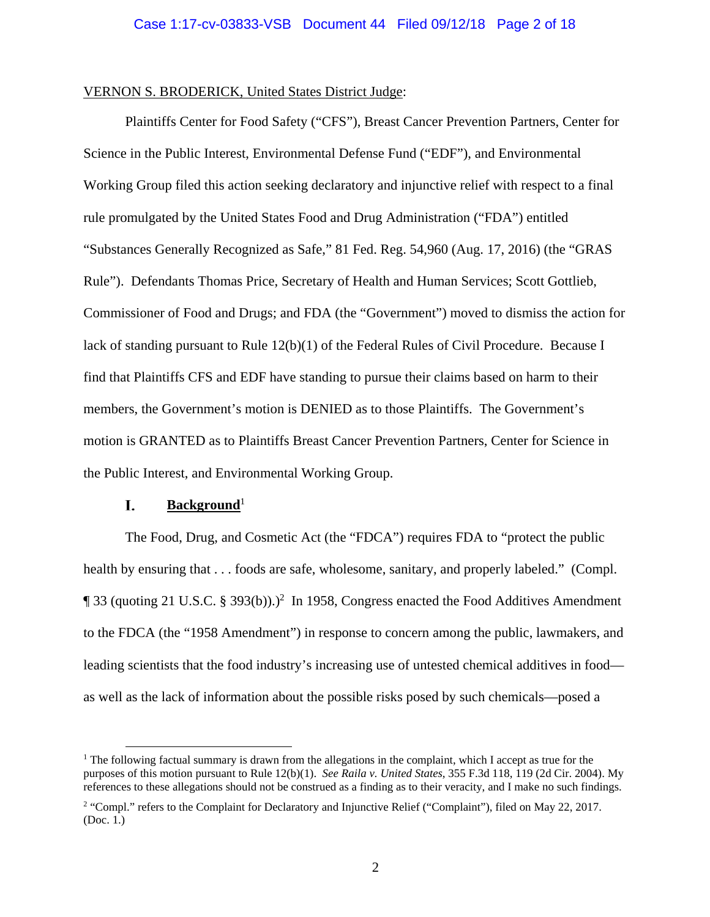## VERNON S. BRODERICK, United States District Judge:

 Plaintiffs Center for Food Safety ("CFS"), Breast Cancer Prevention Partners, Center for Science in the Public Interest, Environmental Defense Fund ("EDF"), and Environmental Working Group filed this action seeking declaratory and injunctive relief with respect to a final rule promulgated by the United States Food and Drug Administration ("FDA") entitled "Substances Generally Recognized as Safe," 81 Fed. Reg. 54,960 (Aug. 17, 2016) (the "GRAS Rule"). Defendants Thomas Price, Secretary of Health and Human Services; Scott Gottlieb, Commissioner of Food and Drugs; and FDA (the "Government") moved to dismiss the action for lack of standing pursuant to Rule 12(b)(1) of the Federal Rules of Civil Procedure. Because I find that Plaintiffs CFS and EDF have standing to pursue their claims based on harm to their members, the Government's motion is DENIED as to those Plaintiffs. The Government's motion is GRANTED as to Plaintiffs Breast Cancer Prevention Partners, Center for Science in the Public Interest, and Environmental Working Group.

#### L. **Background**<sup>1</sup>

The Food, Drug, and Cosmetic Act (the "FDCA") requires FDA to "protect the public health by ensuring that . . . foods are safe, wholesome, sanitary, and properly labeled." (Compl.  $\P$  33 (quoting 21 U.S.C. § 393(b)).)<sup>2</sup> In 1958, Congress enacted the Food Additives Amendment to the FDCA (the "1958 Amendment") in response to concern among the public, lawmakers, and leading scientists that the food industry's increasing use of untested chemical additives in food as well as the lack of information about the possible risks posed by such chemicals—posed a

<sup>&</sup>lt;sup>1</sup> The following factual summary is drawn from the allegations in the complaint, which I accept as true for the purposes of this motion pursuant to Rule 12(b)(1). *See Raila v. United States*, 355 F.3d 118, 119 (2d Cir. 2004). My references to these allegations should not be construed as a finding as to their veracity, and I make no such findings.

<sup>&</sup>lt;sup>2</sup> "Compl." refers to the Complaint for Declaratory and Injunctive Relief ("Complaint"), filed on May 22, 2017. (Doc. 1.)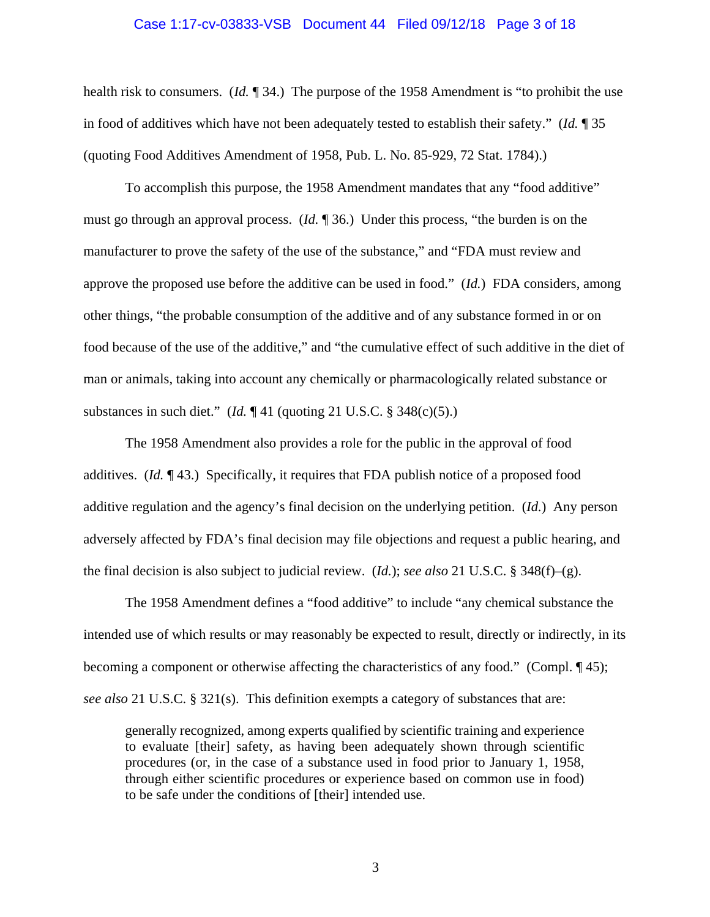#### Case 1:17-cv-03833-VSB Document 44 Filed 09/12/18 Page 3 of 18

health risk to consumers. (*Id.* ¶ 34.) The purpose of the 1958 Amendment is "to prohibit the use in food of additives which have not been adequately tested to establish their safety." (*Id.* ¶ 35 (quoting Food Additives Amendment of 1958, Pub. L. No. 85-929, 72 Stat. 1784).)

To accomplish this purpose, the 1958 Amendment mandates that any "food additive" must go through an approval process. (*Id.* ¶ 36.) Under this process, "the burden is on the manufacturer to prove the safety of the use of the substance," and "FDA must review and approve the proposed use before the additive can be used in food." (*Id.*) FDA considers, among other things, "the probable consumption of the additive and of any substance formed in or on food because of the use of the additive," and "the cumulative effect of such additive in the diet of man or animals, taking into account any chemically or pharmacologically related substance or substances in such diet." (*Id.* ¶ 41 (quoting 21 U.S.C. § 348(c)(5).)

The 1958 Amendment also provides a role for the public in the approval of food additives. (*Id.* ¶ 43.) Specifically, it requires that FDA publish notice of a proposed food additive regulation and the agency's final decision on the underlying petition. (*Id.*) Any person adversely affected by FDA's final decision may file objections and request a public hearing, and the final decision is also subject to judicial review. (*Id.*); *see also* 21 U.S.C. § 348(f)–(g).

The 1958 Amendment defines a "food additive" to include "any chemical substance the intended use of which results or may reasonably be expected to result, directly or indirectly, in its becoming a component or otherwise affecting the characteristics of any food." (Compl. ¶ 45); *see also* 21 U.S.C. § 321(s). This definition exempts a category of substances that are:

generally recognized, among experts qualified by scientific training and experience to evaluate [their] safety, as having been adequately shown through scientific procedures (or, in the case of a substance used in food prior to January 1, 1958, through either scientific procedures or experience based on common use in food) to be safe under the conditions of [their] intended use.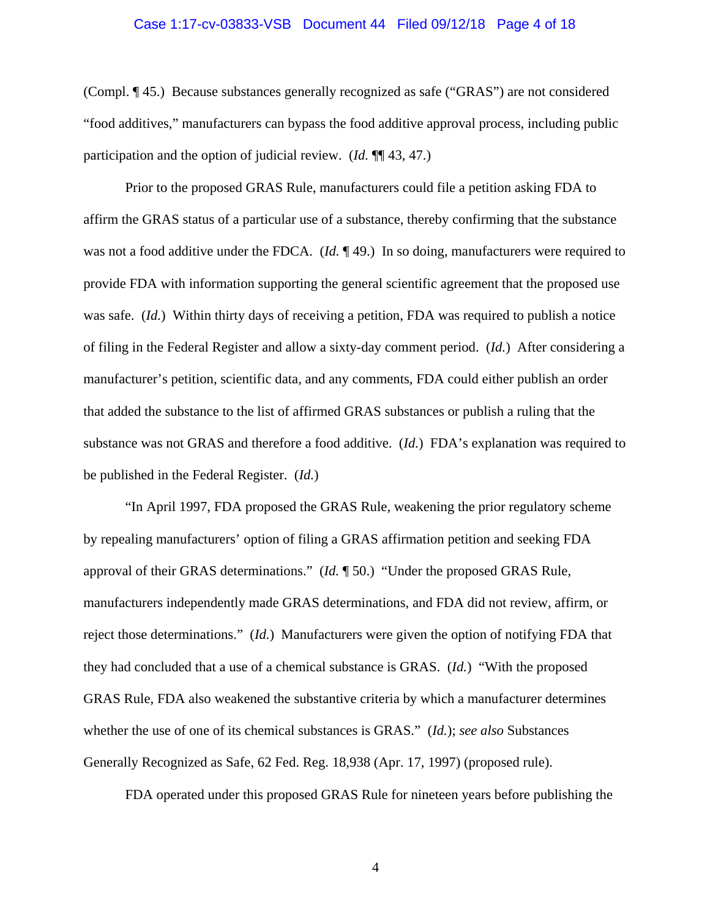#### Case 1:17-cv-03833-VSB Document 44 Filed 09/12/18 Page 4 of 18

(Compl. ¶ 45.)Because substances generally recognized as safe ("GRAS") are not considered "food additives," manufacturers can bypass the food additive approval process, including public participation and the option of judicial review. (*Id.* ¶¶ 43, 47.)

Prior to the proposed GRAS Rule, manufacturers could file a petition asking FDA to affirm the GRAS status of a particular use of a substance, thereby confirming that the substance was not a food additive under the FDCA. (*Id.* ¶ 49.) In so doing, manufacturers were required to provide FDA with information supporting the general scientific agreement that the proposed use was safe. (*Id.*) Within thirty days of receiving a petition, FDA was required to publish a notice of filing in the Federal Register and allow a sixty-day comment period. (*Id.*) After considering a manufacturer's petition, scientific data, and any comments, FDA could either publish an order that added the substance to the list of affirmed GRAS substances or publish a ruling that the substance was not GRAS and therefore a food additive. (*Id.*) FDA's explanation was required to be published in the Federal Register. (*Id.*)

 "In April 1997, FDA proposed the GRAS Rule, weakening the prior regulatory scheme by repealing manufacturers' option of filing a GRAS affirmation petition and seeking FDA approval of their GRAS determinations." (*Id.* ¶ 50.) "Under the proposed GRAS Rule, manufacturers independently made GRAS determinations, and FDA did not review, affirm, or reject those determinations." (*Id.*) Manufacturers were given the option of notifying FDA that they had concluded that a use of a chemical substance is GRAS. (*Id.*) "With the proposed GRAS Rule, FDA also weakened the substantive criteria by which a manufacturer determines whether the use of one of its chemical substances is GRAS." (*Id.*); *see also* Substances Generally Recognized as Safe, 62 Fed. Reg. 18,938 (Apr. 17, 1997) (proposed rule).

FDA operated under this proposed GRAS Rule for nineteen years before publishing the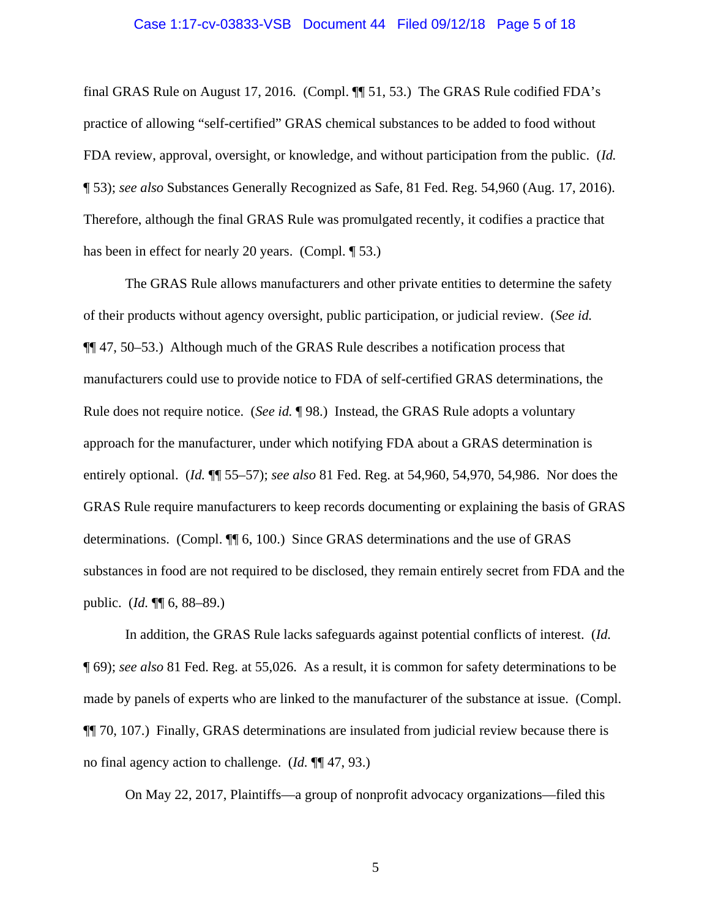#### Case 1:17-cv-03833-VSB Document 44 Filed 09/12/18 Page 5 of 18

final GRAS Rule on August 17, 2016. (Compl. ¶¶ 51, 53.) The GRAS Rule codified FDA's practice of allowing "self-certified" GRAS chemical substances to be added to food without FDA review, approval, oversight, or knowledge, and without participation from the public. (*Id.*  ¶ 53); *see also* Substances Generally Recognized as Safe, 81 Fed. Reg. 54,960 (Aug. 17, 2016). Therefore, although the final GRAS Rule was promulgated recently, it codifies a practice that has been in effect for nearly 20 years. (Compl. 153.)

The GRAS Rule allows manufacturers and other private entities to determine the safety of their products without agency oversight, public participation, or judicial review. (*See id.* ¶¶ 47, 50–53.) Although much of the GRAS Rule describes a notification process that manufacturers could use to provide notice to FDA of self-certified GRAS determinations, the Rule does not require notice. (*See id.* ¶ 98.) Instead, the GRAS Rule adopts a voluntary approach for the manufacturer, under which notifying FDA about a GRAS determination is entirely optional. (*Id.* ¶¶ 55–57); *see also* 81 Fed. Reg. at 54,960, 54,970, 54,986. Nor does the GRAS Rule require manufacturers to keep records documenting or explaining the basis of GRAS determinations. (Compl. ¶¶ 6, 100.) Since GRAS determinations and the use of GRAS substances in food are not required to be disclosed, they remain entirely secret from FDA and the public. (*Id.* ¶¶ 6, 88–89.)

In addition, the GRAS Rule lacks safeguards against potential conflicts of interest. (*Id.* ¶ 69); *see also* 81 Fed. Reg. at 55,026. As a result, it is common for safety determinations to be made by panels of experts who are linked to the manufacturer of the substance at issue. (Compl. ¶¶ 70, 107.) Finally, GRAS determinations are insulated from judicial review because there is no final agency action to challenge. (*Id.* ¶¶ 47, 93.)

On May 22, 2017, Plaintiffs—a group of nonprofit advocacy organizations—filed this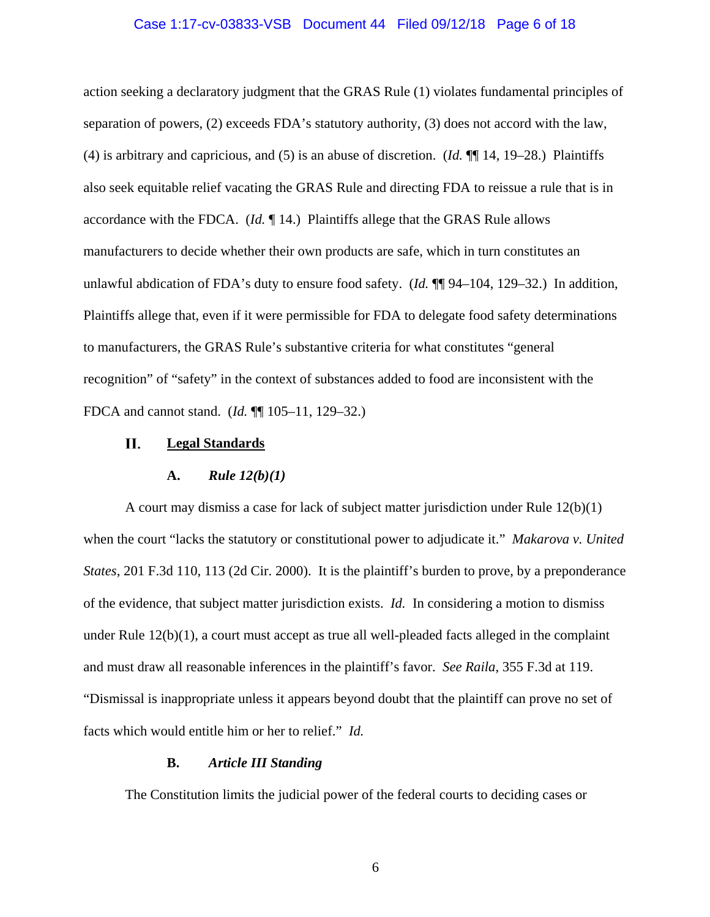### Case 1:17-cv-03833-VSB Document 44 Filed 09/12/18 Page 6 of 18

action seeking a declaratory judgment that the GRAS Rule (1) violates fundamental principles of separation of powers, (2) exceeds FDA's statutory authority, (3) does not accord with the law, (4) is arbitrary and capricious, and (5) is an abuse of discretion. (*Id.* ¶¶ 14, 19–28.) Plaintiffs also seek equitable relief vacating the GRAS Rule and directing FDA to reissue a rule that is in accordance with the FDCA. (*Id.* ¶ 14.) Plaintiffs allege that the GRAS Rule allows manufacturers to decide whether their own products are safe, which in turn constitutes an unlawful abdication of FDA's duty to ensure food safety. (*Id.*  $\P\P$ 94–104, 129–32.) In addition, Plaintiffs allege that, even if it were permissible for FDA to delegate food safety determinations to manufacturers, the GRAS Rule's substantive criteria for what constitutes "general recognition" of "safety" in the context of substances added to food are inconsistent with the FDCA and cannot stand. (*Id.* ¶¶ 105–11, 129–32.)

#### П. **Legal Standards**

### **A.** *Rule 12(b)(1)*

A court may dismiss a case for lack of subject matter jurisdiction under Rule 12(b)(1) when the court "lacks the statutory or constitutional power to adjudicate it." *Makarova v. United States*, 201 F.3d 110, 113 (2d Cir. 2000). It is the plaintiff's burden to prove, by a preponderance of the evidence, that subject matter jurisdiction exists. *Id.* In considering a motion to dismiss under Rule  $12(b)(1)$ , a court must accept as true all well-pleaded facts alleged in the complaint and must draw all reasonable inferences in the plaintiff's favor. *See Raila*, 355 F.3d at 119. "Dismissal is inappropriate unless it appears beyond doubt that the plaintiff can prove no set of facts which would entitle him or her to relief." *Id.* 

### **B.** *Article III Standing*

The Constitution limits the judicial power of the federal courts to deciding cases or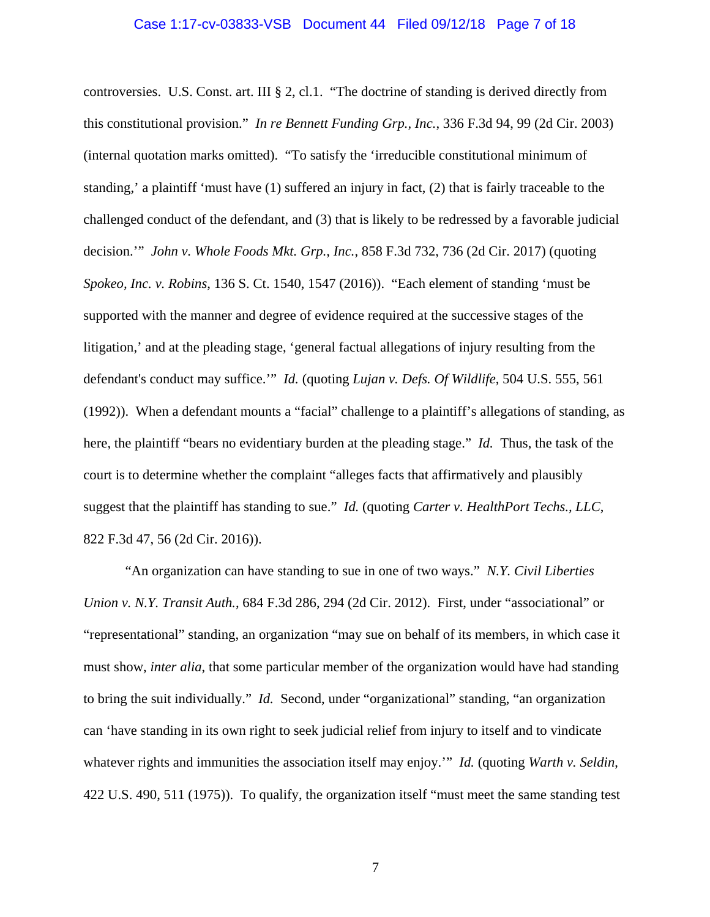#### Case 1:17-cv-03833-VSB Document 44 Filed 09/12/18 Page 7 of 18

controversies. U.S. Const. art. III § 2, cl.1. "The doctrine of standing is derived directly from this constitutional provision." *In re Bennett Funding Grp., Inc.*, 336 F.3d 94, 99 (2d Cir. 2003) (internal quotation marks omitted). "To satisfy the 'irreducible constitutional minimum of standing,' a plaintiff 'must have (1) suffered an injury in fact, (2) that is fairly traceable to the challenged conduct of the defendant, and (3) that is likely to be redressed by a favorable judicial decision.'" *John v. Whole Foods Mkt. Grp., Inc.*, 858 F.3d 732, 736 (2d Cir. 2017) (quoting *Spokeo, Inc. v. Robins*, 136 S. Ct. 1540, 1547 (2016)). "Each element of standing 'must be supported with the manner and degree of evidence required at the successive stages of the litigation,' and at the pleading stage, 'general factual allegations of injury resulting from the defendant's conduct may suffice.'" *Id.* (quoting *Lujan v. Defs. Of Wildlife*, 504 U.S. 555, 561 (1992)). When a defendant mounts a "facial" challenge to a plaintiff's allegations of standing, as here, the plaintiff "bears no evidentiary burden at the pleading stage." *Id.* Thus, the task of the court is to determine whether the complaint "alleges facts that affirmatively and plausibly suggest that the plaintiff has standing to sue." *Id.* (quoting *Carter v. HealthPort Techs., LLC*, 822 F.3d 47, 56 (2d Cir. 2016)).

"An organization can have standing to sue in one of two ways." *N.Y. Civil Liberties Union v. N.Y. Transit Auth.*, 684 F.3d 286, 294 (2d Cir. 2012). First, under "associational" or "representational" standing, an organization "may sue on behalf of its members, in which case it must show, *inter alia*, that some particular member of the organization would have had standing to bring the suit individually." *Id.* Second, under "organizational" standing, "an organization can 'have standing in its own right to seek judicial relief from injury to itself and to vindicate whatever rights and immunities the association itself may enjoy.'" *Id.* (quoting *Warth v. Seldin*, 422 U.S. 490, 511 (1975)). To qualify, the organization itself "must meet the same standing test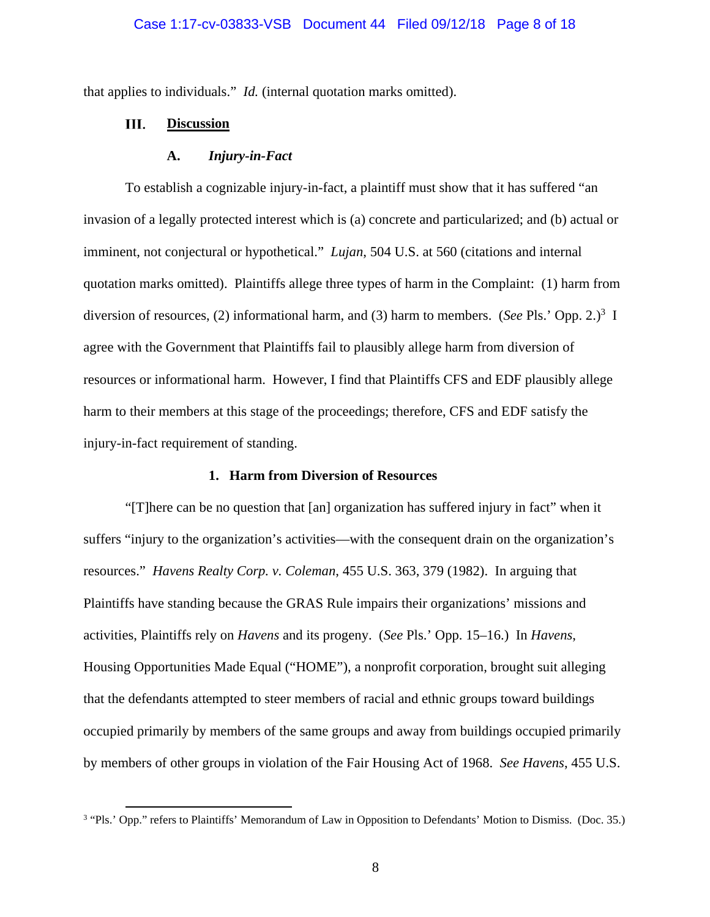#### Case 1:17-cv-03833-VSB Document 44 Filed 09/12/18 Page 8 of 18

that applies to individuals." *Id.* (internal quotation marks omitted).

#### Ш. **Discussion**

#### **A.** *Injury-in-Fact*

To establish a cognizable injury-in-fact, a plaintiff must show that it has suffered "an invasion of a legally protected interest which is (a) concrete and particularized; and (b) actual or imminent, not conjectural or hypothetical." *Lujan*, 504 U.S. at 560 (citations and internal quotation marks omitted). Plaintiffs allege three types of harm in the Complaint: (1) harm from diversion of resources, (2) informational harm, and (3) harm to members. (*See* Pls.' Opp. 2.)<sup>3</sup> I agree with the Government that Plaintiffs fail to plausibly allege harm from diversion of resources or informational harm. However, I find that Plaintiffs CFS and EDF plausibly allege harm to their members at this stage of the proceedings; therefore, CFS and EDF satisfy the injury-in-fact requirement of standing.

### **1. Harm from Diversion of Resources**

"[T]here can be no question that [an] organization has suffered injury in fact" when it suffers "injury to the organization's activities—with the consequent drain on the organization's resources." *Havens Realty Corp. v. Coleman*, 455 U.S. 363, 379 (1982). In arguing that Plaintiffs have standing because the GRAS Rule impairs their organizations' missions and activities, Plaintiffs rely on *Havens* and its progeny. (*See* Pls.' Opp. 15–16.) In *Havens*, Housing Opportunities Made Equal ("HOME"), a nonprofit corporation, brought suit alleging that the defendants attempted to steer members of racial and ethnic groups toward buildings occupied primarily by members of the same groups and away from buildings occupied primarily by members of other groups in violation of the Fair Housing Act of 1968. *See Havens*, 455 U.S.

<sup>&</sup>lt;sup>3</sup> "Pls.' Opp." refers to Plaintiffs' Memorandum of Law in Opposition to Defendants' Motion to Dismiss. (Doc. 35.)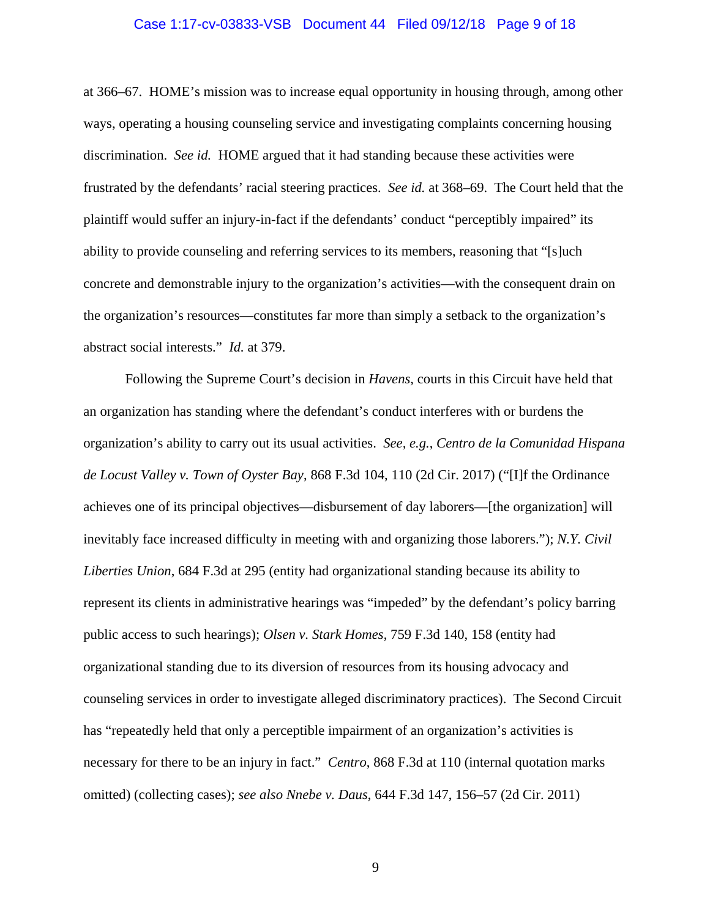#### Case 1:17-cv-03833-VSB Document 44 Filed 09/12/18 Page 9 of 18

at 366–67. HOME's mission was to increase equal opportunity in housing through, among other ways, operating a housing counseling service and investigating complaints concerning housing discrimination. *See id.* HOME argued that it had standing because these activities were frustrated by the defendants' racial steering practices. *See id.* at 368–69. The Court held that the plaintiff would suffer an injury-in-fact if the defendants' conduct "perceptibly impaired" its ability to provide counseling and referring services to its members, reasoning that "[s]uch concrete and demonstrable injury to the organization's activities—with the consequent drain on the organization's resources—constitutes far more than simply a setback to the organization's abstract social interests." *Id.* at 379.

Following the Supreme Court's decision in *Havens*, courts in this Circuit have held that an organization has standing where the defendant's conduct interferes with or burdens the organization's ability to carry out its usual activities. *See, e.g.*, *Centro de la Comunidad Hispana de Locust Valley v. Town of Oyster Bay*, 868 F.3d 104, 110 (2d Cir. 2017) ("[I]f the Ordinance achieves one of its principal objectives—disbursement of day laborers—[the organization] will inevitably face increased difficulty in meeting with and organizing those laborers."); *N.Y. Civil Liberties Union*, 684 F.3d at 295 (entity had organizational standing because its ability to represent its clients in administrative hearings was "impeded" by the defendant's policy barring public access to such hearings); *Olsen v. Stark Homes*, 759 F.3d 140, 158 (entity had organizational standing due to its diversion of resources from its housing advocacy and counseling services in order to investigate alleged discriminatory practices). The Second Circuit has "repeatedly held that only a perceptible impairment of an organization's activities is necessary for there to be an injury in fact." *Centro*, 868 F.3d at 110 (internal quotation marks omitted) (collecting cases); *see also Nnebe v. Daus*, 644 F.3d 147, 156–57 (2d Cir. 2011)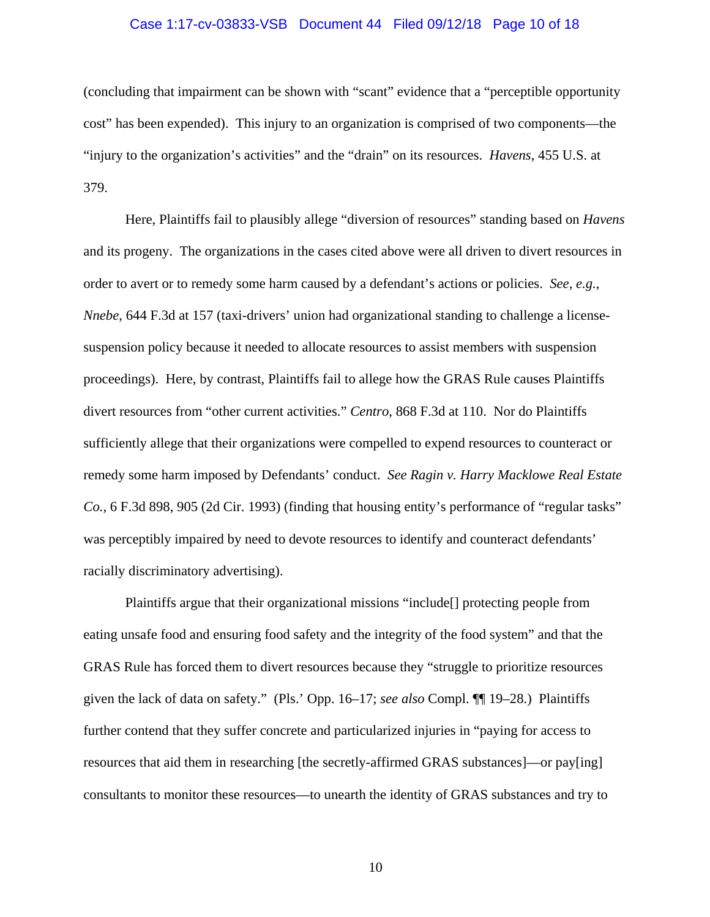### Case 1:17-cv-03833-VSB Document 44 Filed 09/12/18 Page 10 of 18

(concluding that impairment can be shown with "scant" evidence that a "perceptible opportunity cost" has been expended). This injury to an organization is comprised of two components—the "injury to the organization's activities" and the "drain" on its resources. *Havens*, 455 U.S. at 379.

Here, Plaintiffs fail to plausibly allege "diversion of resources" standing based on *Havens*  and its progeny. The organizations in the cases cited above were all driven to divert resources in order to avert or to remedy some harm caused by a defendant's actions or policies. *See, e.g.*, *Nnebe*, 644 F.3d at 157 (taxi-drivers' union had organizational standing to challenge a licensesuspension policy because it needed to allocate resources to assist members with suspension proceedings). Here, by contrast, Plaintiffs fail to allege how the GRAS Rule causes Plaintiffs divert resources from "other current activities." *Centro*, 868 F.3d at 110. Nor do Plaintiffs sufficiently allege that their organizations were compelled to expend resources to counteract or remedy some harm imposed by Defendants' conduct. *See Ragin v. Harry Macklowe Real Estate Co.*, 6 F.3d 898, 905 (2d Cir. 1993) (finding that housing entity's performance of "regular tasks" was perceptibly impaired by need to devote resources to identify and counteract defendants' racially discriminatory advertising).

Plaintiffs argue that their organizational missions "include[] protecting people from eating unsafe food and ensuring food safety and the integrity of the food system" and that the GRAS Rule has forced them to divert resources because they "struggle to prioritize resources given the lack of data on safety." (Pls.' Opp. 16–17; *see also* Compl. ¶¶ 19–28.) Plaintiffs further contend that they suffer concrete and particularized injuries in "paying for access to resources that aid them in researching [the secretly-affirmed GRAS substances]—or pay[ing] consultants to monitor these resources—to unearth the identity of GRAS substances and try to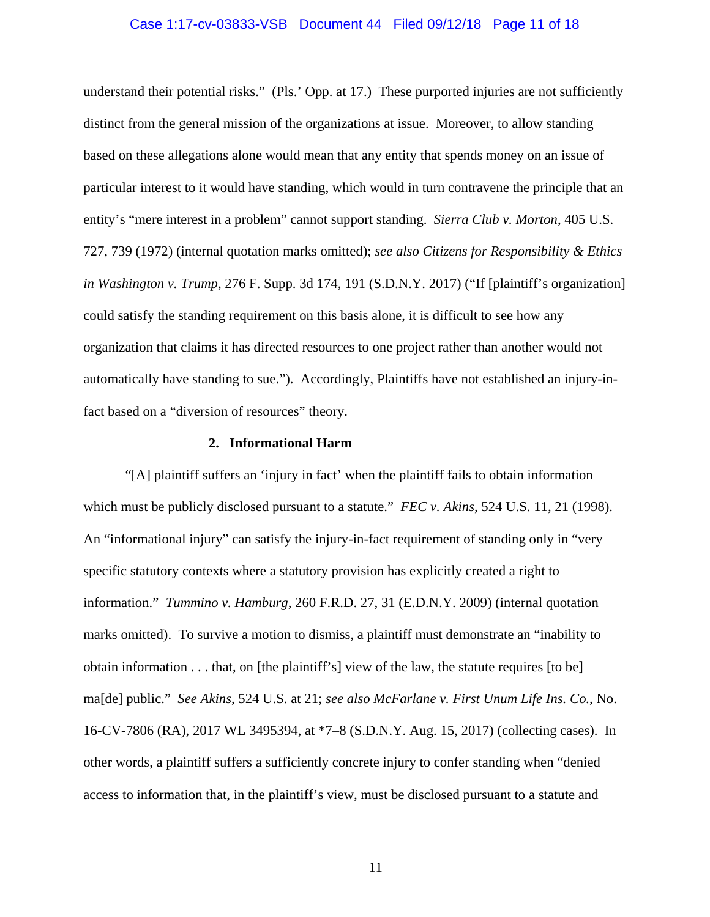### Case 1:17-cv-03833-VSB Document 44 Filed 09/12/18 Page 11 of 18

understand their potential risks." (Pls.' Opp. at 17.) These purported injuries are not sufficiently distinct from the general mission of the organizations at issue. Moreover, to allow standing based on these allegations alone would mean that any entity that spends money on an issue of particular interest to it would have standing, which would in turn contravene the principle that an entity's "mere interest in a problem" cannot support standing. *Sierra Club v. Morton*, 405 U.S. 727, 739 (1972) (internal quotation marks omitted); *see also Citizens for Responsibility & Ethics in Washington v. Trump*, 276 F. Supp. 3d 174, 191 (S.D.N.Y. 2017) ("If [plaintiff's organization] could satisfy the standing requirement on this basis alone, it is difficult to see how any organization that claims it has directed resources to one project rather than another would not automatically have standing to sue."). Accordingly, Plaintiffs have not established an injury-infact based on a "diversion of resources" theory.

### **2. Informational Harm**

"[A] plaintiff suffers an 'injury in fact' when the plaintiff fails to obtain information which must be publicly disclosed pursuant to a statute." *FEC v. Akins*, 524 U.S. 11, 21 (1998). An "informational injury" can satisfy the injury-in-fact requirement of standing only in "very specific statutory contexts where a statutory provision has explicitly created a right to information." *Tummino v. Hamburg*, 260 F.R.D. 27, 31 (E.D.N.Y. 2009) (internal quotation marks omitted). To survive a motion to dismiss, a plaintiff must demonstrate an "inability to obtain information . . . that, on [the plaintiff's] view of the law, the statute requires [to be] ma[de] public." *See Akins*, 524 U.S. at 21; *see also McFarlane v. First Unum Life Ins. Co.*, No. 16-CV-7806 (RA), 2017 WL 3495394, at \*7–8 (S.D.N.Y. Aug. 15, 2017) (collecting cases). In other words, a plaintiff suffers a sufficiently concrete injury to confer standing when "denied access to information that, in the plaintiff's view, must be disclosed pursuant to a statute and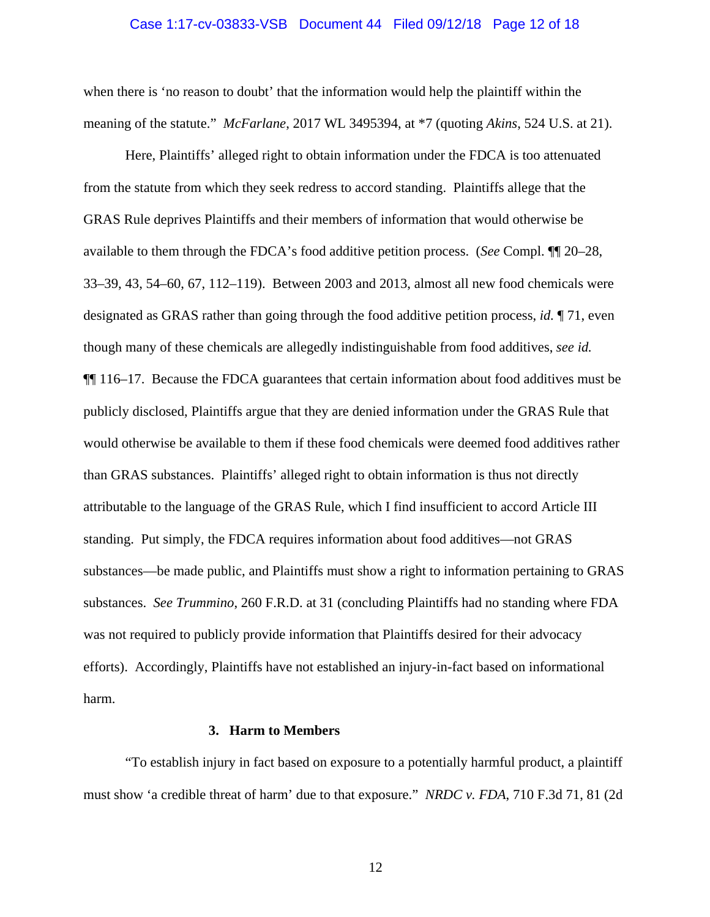#### Case 1:17-cv-03833-VSB Document 44 Filed 09/12/18 Page 12 of 18

when there is 'no reason to doubt' that the information would help the plaintiff within the meaning of the statute." *McFarlane*, 2017 WL 3495394, at \*7 (quoting *Akins*, 524 U.S. at 21).

Here, Plaintiffs' alleged right to obtain information under the FDCA is too attenuated from the statute from which they seek redress to accord standing. Plaintiffs allege that the GRAS Rule deprives Plaintiffs and their members of information that would otherwise be available to them through the FDCA's food additive petition process. (*See* Compl. ¶¶ 20–28, 33–39, 43, 54–60, 67, 112–119). Between 2003 and 2013, almost all new food chemicals were designated as GRAS rather than going through the food additive petition process, *id.* ¶ 71, even though many of these chemicals are allegedly indistinguishable from food additives, *see id.* ¶¶ 116–17. Because the FDCA guarantees that certain information about food additives must be publicly disclosed, Plaintiffs argue that they are denied information under the GRAS Rule that would otherwise be available to them if these food chemicals were deemed food additives rather than GRAS substances. Plaintiffs' alleged right to obtain information is thus not directly attributable to the language of the GRAS Rule, which I find insufficient to accord Article III standing. Put simply, the FDCA requires information about food additives—not GRAS substances—be made public, and Plaintiffs must show a right to information pertaining to GRAS substances. *See Trummino*, 260 F.R.D. at 31 (concluding Plaintiffs had no standing where FDA was not required to publicly provide information that Plaintiffs desired for their advocacy efforts). Accordingly, Plaintiffs have not established an injury-in-fact based on informational harm.

### **3. Harm to Members**

"To establish injury in fact based on exposure to a potentially harmful product, a plaintiff must show 'a credible threat of harm' due to that exposure." *NRDC v. FDA*, 710 F.3d 71, 81 (2d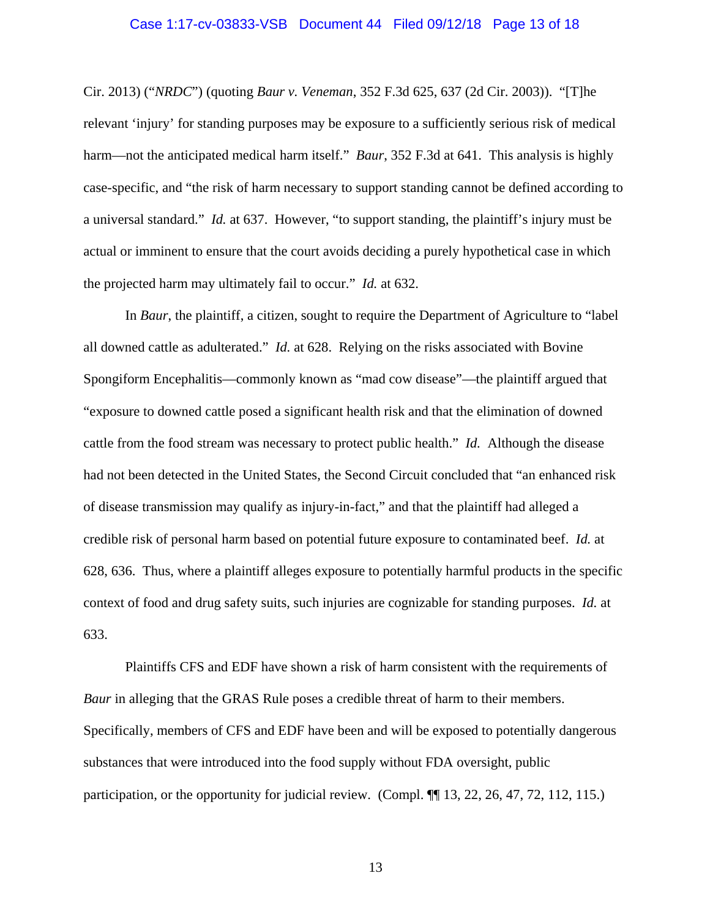### Case 1:17-cv-03833-VSB Document 44 Filed 09/12/18 Page 13 of 18

Cir. 2013) ("*NRDC*") (quoting *Baur v. Veneman*, 352 F.3d 625, 637 (2d Cir. 2003)). "[T]he relevant 'injury' for standing purposes may be exposure to a sufficiently serious risk of medical harm—not the anticipated medical harm itself." *Baur*, 352 F.3d at 641. This analysis is highly case-specific, and "the risk of harm necessary to support standing cannot be defined according to a universal standard." *Id.* at 637. However, "to support standing, the plaintiff's injury must be actual or imminent to ensure that the court avoids deciding a purely hypothetical case in which the projected harm may ultimately fail to occur." *Id.* at 632.

In *Baur*, the plaintiff, a citizen, sought to require the Department of Agriculture to "label all downed cattle as adulterated." *Id.* at 628. Relying on the risks associated with Bovine Spongiform Encephalitis—commonly known as "mad cow disease"—the plaintiff argued that "exposure to downed cattle posed a significant health risk and that the elimination of downed cattle from the food stream was necessary to protect public health." *Id.* Although the disease had not been detected in the United States, the Second Circuit concluded that "an enhanced risk of disease transmission may qualify as injury-in-fact," and that the plaintiff had alleged a credible risk of personal harm based on potential future exposure to contaminated beef. *Id.* at 628, 636. Thus, where a plaintiff alleges exposure to potentially harmful products in the specific context of food and drug safety suits, such injuries are cognizable for standing purposes. *Id.* at 633.

Plaintiffs CFS and EDF have shown a risk of harm consistent with the requirements of *Baur* in alleging that the GRAS Rule poses a credible threat of harm to their members. Specifically, members of CFS and EDF have been and will be exposed to potentially dangerous substances that were introduced into the food supply without FDA oversight, public participation, or the opportunity for judicial review. (Compl.  $\P$  13, 22, 26, 47, 72, 112, 115.)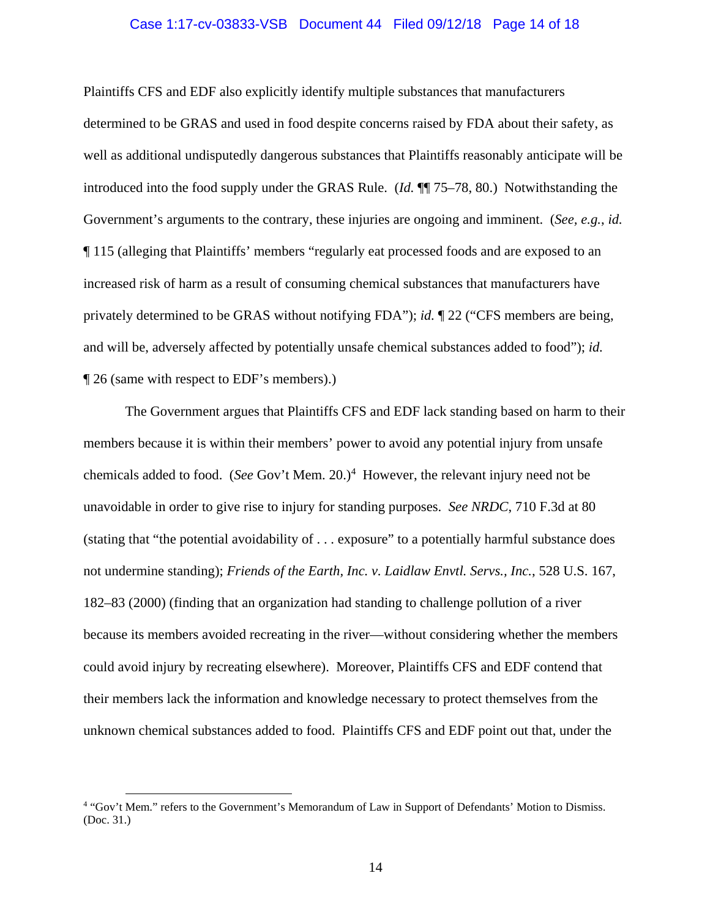#### Case 1:17-cv-03833-VSB Document 44 Filed 09/12/18 Page 14 of 18

Plaintiffs CFS and EDF also explicitly identify multiple substances that manufacturers determined to be GRAS and used in food despite concerns raised by FDA about their safety, as well as additional undisputedly dangerous substances that Plaintiffs reasonably anticipate will be introduced into the food supply under the GRAS Rule. (*Id.* ¶¶ 75–78, 80.) Notwithstanding the Government's arguments to the contrary, these injuries are ongoing and imminent. (*See, e.g.*, *id.* ¶ 115 (alleging that Plaintiffs' members "regularly eat processed foods and are exposed to an increased risk of harm as a result of consuming chemical substances that manufacturers have privately determined to be GRAS without notifying FDA"); *id.* ¶ 22 ("CFS members are being, and will be, adversely affected by potentially unsafe chemical substances added to food"); *id.* ¶ 26 (same with respect to EDF's members).)

The Government argues that Plaintiffs CFS and EDF lack standing based on harm to their members because it is within their members' power to avoid any potential injury from unsafe chemicals added to food. (*See* Gov't Mem. 20.)<sup>4</sup> However, the relevant injury need not be unavoidable in order to give rise to injury for standing purposes. *See NRDC*, 710 F.3d at 80 (stating that "the potential avoidability of . . . exposure" to a potentially harmful substance does not undermine standing); *Friends of the Earth, Inc. v. Laidlaw Envtl. Servs., Inc.*, 528 U.S. 167, 182–83 (2000) (finding that an organization had standing to challenge pollution of a river because its members avoided recreating in the river—without considering whether the members could avoid injury by recreating elsewhere). Moreover, Plaintiffs CFS and EDF contend that their members lack the information and knowledge necessary to protect themselves from the unknown chemical substances added to food. Plaintiffs CFS and EDF point out that, under the

 <sup>4</sup> "Gov't Mem." refers to the Government's Memorandum of Law in Support of Defendants' Motion to Dismiss. (Doc. 31.)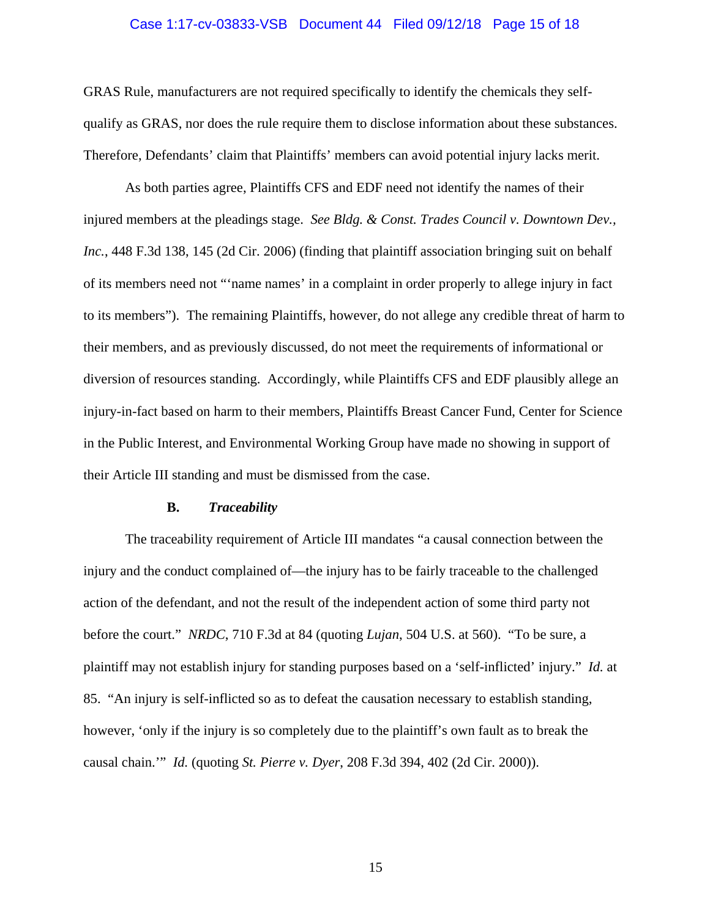#### Case 1:17-cv-03833-VSB Document 44 Filed 09/12/18 Page 15 of 18

GRAS Rule, manufacturers are not required specifically to identify the chemicals they selfqualify as GRAS, nor does the rule require them to disclose information about these substances. Therefore, Defendants' claim that Plaintiffs' members can avoid potential injury lacks merit.

As both parties agree, Plaintiffs CFS and EDF need not identify the names of their injured members at the pleadings stage. *See Bldg. & Const. Trades Council v. Downtown Dev., Inc.*, 448 F.3d 138, 145 (2d Cir. 2006) (finding that plaintiff association bringing suit on behalf of its members need not "'name names' in a complaint in order properly to allege injury in fact to its members"). The remaining Plaintiffs, however, do not allege any credible threat of harm to their members, and as previously discussed, do not meet the requirements of informational or diversion of resources standing. Accordingly, while Plaintiffs CFS and EDF plausibly allege an injury-in-fact based on harm to their members, Plaintiffs Breast Cancer Fund, Center for Science in the Public Interest, and Environmental Working Group have made no showing in support of their Article III standing and must be dismissed from the case.

### **B.** *Traceability*

The traceability requirement of Article III mandates "a causal connection between the injury and the conduct complained of—the injury has to be fairly traceable to the challenged action of the defendant, and not the result of the independent action of some third party not before the court." *NRDC*, 710 F.3d at 84 (quoting *Lujan*, 504 U.S. at 560). "To be sure, a plaintiff may not establish injury for standing purposes based on a 'self-inflicted' injury." *Id.* at 85. "An injury is self-inflicted so as to defeat the causation necessary to establish standing, however, 'only if the injury is so completely due to the plaintiff's own fault as to break the causal chain.'" *Id.* (quoting *St. Pierre v. Dyer*, 208 F.3d 394, 402 (2d Cir. 2000)).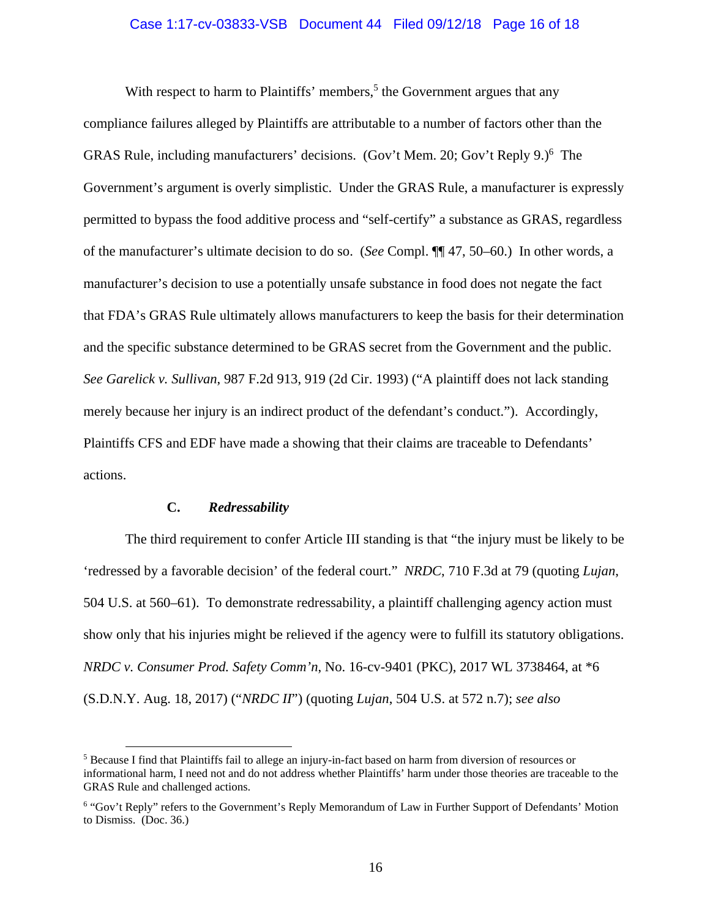# Case 1:17-cv-03833-VSB Document 44 Filed 09/12/18 Page 16 of 18

With respect to harm to Plaintiffs' members,<sup>5</sup> the Government argues that any compliance failures alleged by Plaintiffs are attributable to a number of factors other than the GRAS Rule, including manufacturers' decisions. (Gov't Mem. 20; Gov't Reply 9.)<sup>6</sup> The Government's argument is overly simplistic. Under the GRAS Rule, a manufacturer is expressly permitted to bypass the food additive process and "self-certify" a substance as GRAS, regardless of the manufacturer's ultimate decision to do so. (*See* Compl. ¶¶ 47, 50–60.) In other words, a manufacturer's decision to use a potentially unsafe substance in food does not negate the fact that FDA's GRAS Rule ultimately allows manufacturers to keep the basis for their determination and the specific substance determined to be GRAS secret from the Government and the public. *See Garelick v. Sullivan*, 987 F.2d 913, 919 (2d Cir. 1993) ("A plaintiff does not lack standing merely because her injury is an indirect product of the defendant's conduct."). Accordingly, Plaintiffs CFS and EDF have made a showing that their claims are traceable to Defendants' actions.

# **C.** *Redressability*

The third requirement to confer Article III standing is that "the injury must be likely to be 'redressed by a favorable decision' of the federal court." *NRDC*, 710 F.3d at 79 (quoting *Lujan*, 504 U.S. at 560–61). To demonstrate redressability, a plaintiff challenging agency action must show only that his injuries might be relieved if the agency were to fulfill its statutory obligations. *NRDC v. Consumer Prod. Safety Comm'n*, No. 16-cv-9401 (PKC), 2017 WL 3738464, at \*6 (S.D.N.Y. Aug. 18, 2017) ("*NRDC II*") (quoting *Lujan*, 504 U.S. at 572 n.7); *see also* 

 <sup>5</sup> Because I find that Plaintiffs fail to allege an injury-in-fact based on harm from diversion of resources or informational harm, I need not and do not address whether Plaintiffs' harm under those theories are traceable to the GRAS Rule and challenged actions.

<sup>&</sup>lt;sup>6</sup> "Gov't Reply" refers to the Government's Reply Memorandum of Law in Further Support of Defendants' Motion to Dismiss. (Doc. 36.)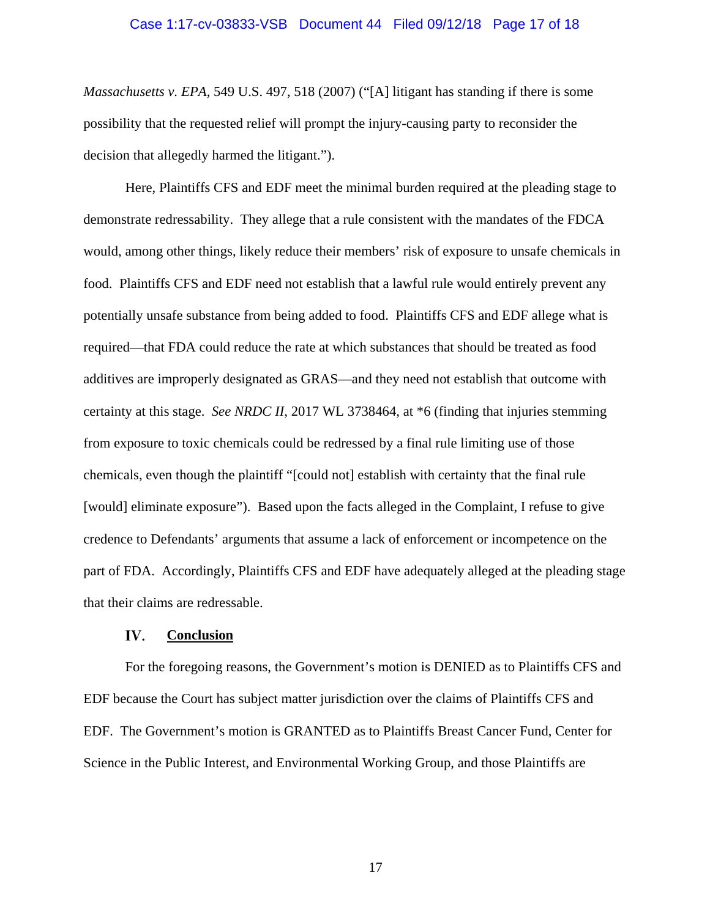### Case 1:17-cv-03833-VSB Document 44 Filed 09/12/18 Page 17 of 18

*Massachusetts v. EPA*, 549 U.S. 497, 518 (2007) ("[A] litigant has standing if there is some possibility that the requested relief will prompt the injury-causing party to reconsider the decision that allegedly harmed the litigant.").

Here, Plaintiffs CFS and EDF meet the minimal burden required at the pleading stage to demonstrate redressability. They allege that a rule consistent with the mandates of the FDCA would, among other things, likely reduce their members' risk of exposure to unsafe chemicals in food. Plaintiffs CFS and EDF need not establish that a lawful rule would entirely prevent any potentially unsafe substance from being added to food. Plaintiffs CFS and EDF allege what is required—that FDA could reduce the rate at which substances that should be treated as food additives are improperly designated as GRAS—and they need not establish that outcome with certainty at this stage. *See NRDC II*, 2017 WL 3738464, at \*6 (finding that injuries stemming from exposure to toxic chemicals could be redressed by a final rule limiting use of those chemicals, even though the plaintiff "[could not] establish with certainty that the final rule [would] eliminate exposure"). Based upon the facts alleged in the Complaint, I refuse to give credence to Defendants' arguments that assume a lack of enforcement or incompetence on the part of FDA. Accordingly, Plaintiffs CFS and EDF have adequately alleged at the pleading stage that their claims are redressable.

#### IV. **Conclusion**

For the foregoing reasons, the Government's motion is DENIED as to Plaintiffs CFS and EDF because the Court has subject matter jurisdiction over the claims of Plaintiffs CFS and EDF. The Government's motion is GRANTED as to Plaintiffs Breast Cancer Fund, Center for Science in the Public Interest, and Environmental Working Group, and those Plaintiffs are